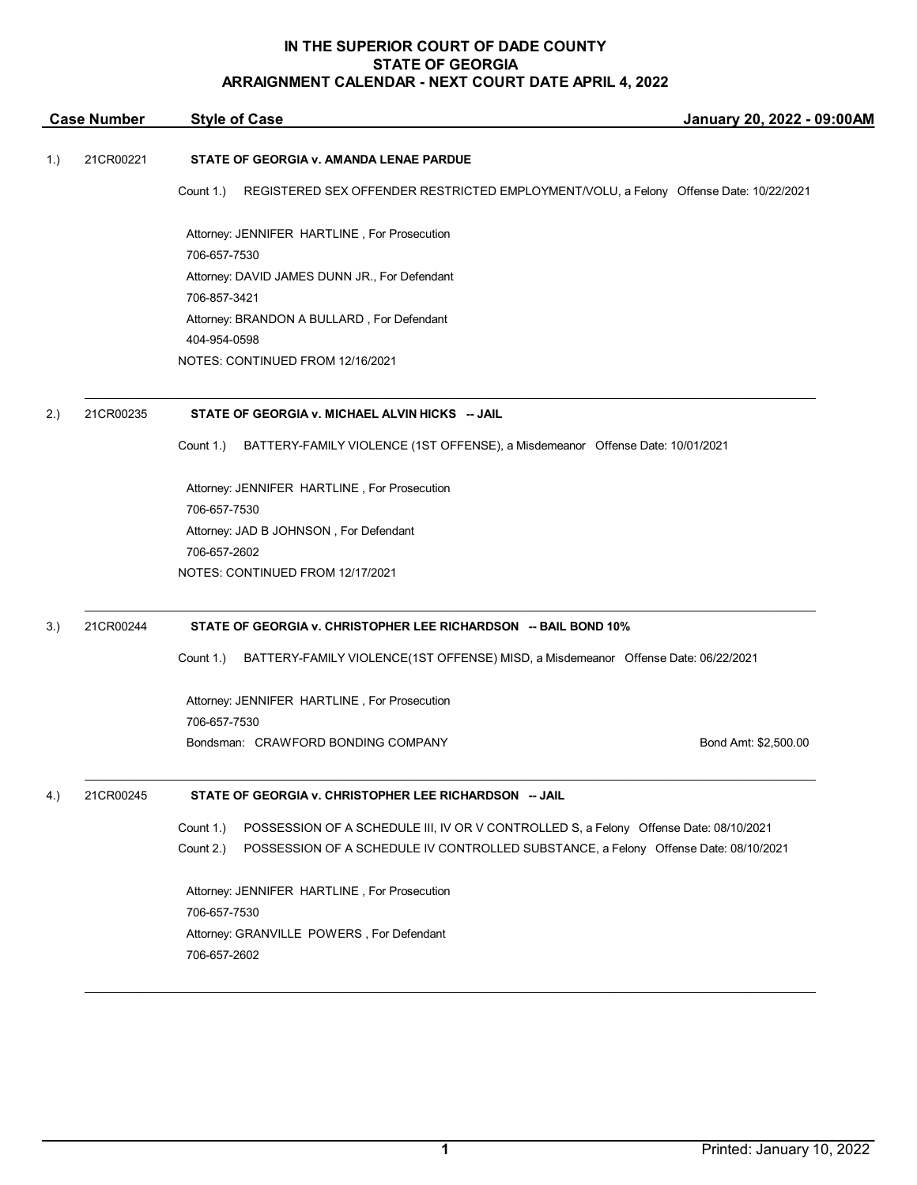| <b>Case Number</b> |           | <b>Style of Case</b>                                                                               | January 20, 2022 - 09:00AM |  |
|--------------------|-----------|----------------------------------------------------------------------------------------------------|----------------------------|--|
| 1.)                | 21CR00221 | STATE OF GEORGIA v. AMANDA LENAE PARDUE                                                            |                            |  |
|                    |           | Count 1.)<br>REGISTERED SEX OFFENDER RESTRICTED EMPLOYMENT/VOLU, a Felony Offense Date: 10/22/2021 |                            |  |
|                    |           | Attorney: JENNIFER HARTLINE, For Prosecution                                                       |                            |  |
|                    |           | 706-657-7530                                                                                       |                            |  |
|                    |           | Attorney: DAVID JAMES DUNN JR., For Defendant                                                      |                            |  |
|                    |           | 706-857-3421                                                                                       |                            |  |
|                    |           | Attorney: BRANDON A BULLARD, For Defendant                                                         |                            |  |
|                    |           | 404-954-0598                                                                                       |                            |  |
|                    |           | NOTES: CONTINUED FROM 12/16/2021                                                                   |                            |  |
| 2.)                | 21CR00235 | STATE OF GEORGIA v. MICHAEL ALVIN HICKS -- JAIL                                                    |                            |  |
|                    |           | Count 1.)<br>BATTERY-FAMILY VIOLENCE (1ST OFFENSE), a Misdemeanor Offense Date: 10/01/2021         |                            |  |
|                    |           | Attorney: JENNIFER HARTLINE, For Prosecution                                                       |                            |  |
|                    |           | 706-657-7530                                                                                       |                            |  |
|                    |           | Attorney: JAD B JOHNSON, For Defendant                                                             |                            |  |
|                    |           | 706-657-2602                                                                                       |                            |  |
|                    |           | NOTES: CONTINUED FROM 12/17/2021                                                                   |                            |  |
| 3.)                | 21CR00244 | STATE OF GEORGIA v. CHRISTOPHER LEE RICHARDSON -- BAIL BOND 10%                                    |                            |  |
|                    |           | Count 1.)<br>BATTERY-FAMILY VIOLENCE(1ST OFFENSE) MISD, a Misdemeanor Offense Date: 06/22/2021     |                            |  |
|                    |           | Attorney: JENNIFER HARTLINE, For Prosecution                                                       |                            |  |
|                    |           | 706-657-7530                                                                                       |                            |  |
|                    |           | Bondsman: CRAWFORD BONDING COMPANY                                                                 | Bond Amt: \$2,500.00       |  |
| 4.)                | 21CR00245 | STATE OF GEORGIA v. CHRISTOPHER LEE RICHARDSON -- JAIL                                             |                            |  |
|                    |           | Count 1.)<br>POSSESSION OF A SCHEDULE III, IV OR V CONTROLLED S, a Felony Offense Date: 08/10/2021 |                            |  |
|                    |           | Count 2.)<br>POSSESSION OF A SCHEDULE IV CONTROLLED SUBSTANCE, a Felony Offense Date: 08/10/2021   |                            |  |
|                    |           | Attorney: JENNIFER HARTLINE, For Prosecution                                                       |                            |  |
|                    |           | 706-657-7530                                                                                       |                            |  |
|                    |           | Attorney: GRANVILLE POWERS, For Defendant                                                          |                            |  |
|                    |           | 706-657-2602                                                                                       |                            |  |
|                    |           |                                                                                                    |                            |  |

\_\_\_\_\_\_\_\_\_\_\_\_\_\_\_\_\_\_\_\_\_\_\_\_\_\_\_\_\_\_\_\_\_\_\_\_\_\_\_\_\_\_\_\_\_\_\_\_\_\_\_\_\_\_\_\_\_\_\_\_\_\_\_\_\_\_\_\_\_\_\_\_\_\_\_\_\_\_\_\_\_\_\_\_\_\_\_\_\_\_\_\_\_\_\_\_\_\_\_\_\_\_\_\_\_\_\_\_\_\_\_\_\_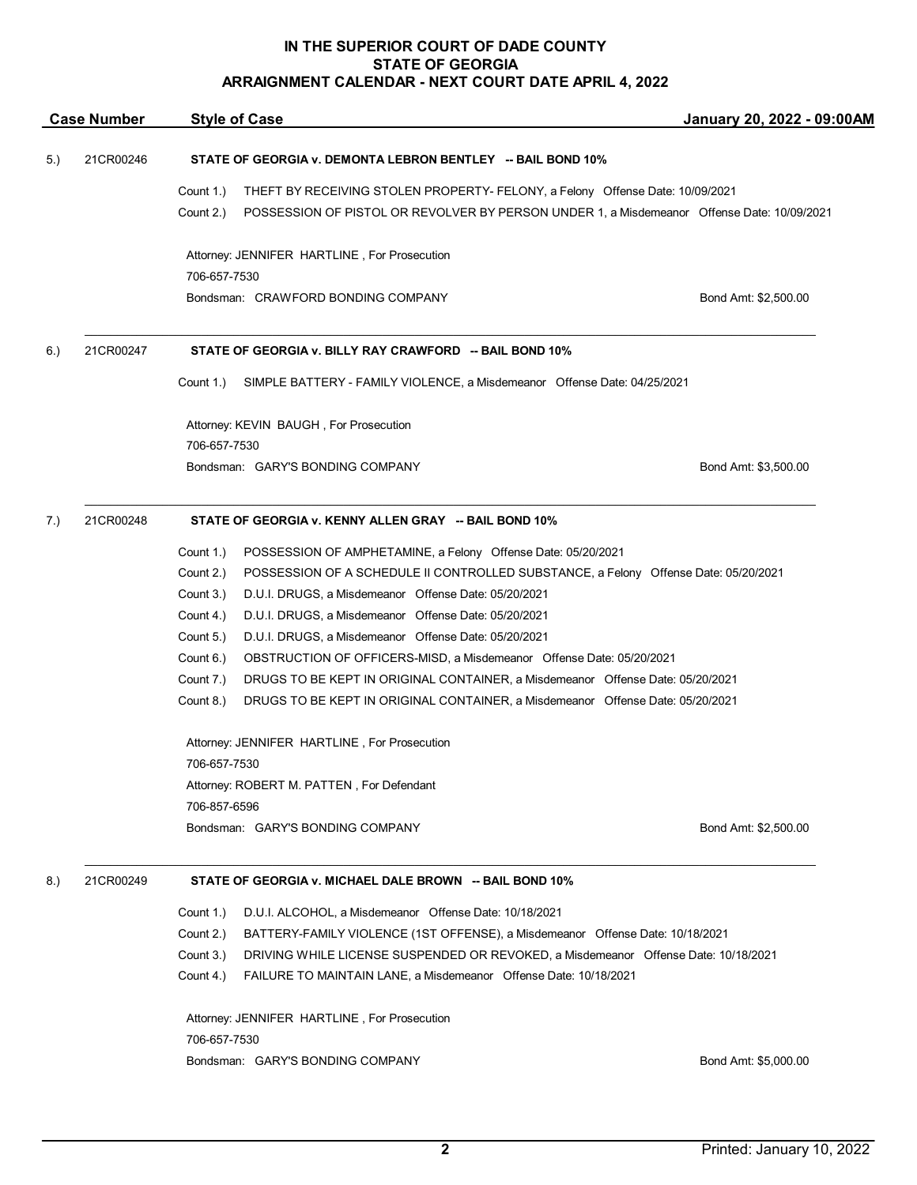| <b>Case Number</b> |                                                                      | <b>Style of Case</b>                                                                                    | January 20, 2022 - 09:00AM |  |  |
|--------------------|----------------------------------------------------------------------|---------------------------------------------------------------------------------------------------------|----------------------------|--|--|
| 5.)                | 21CR00246                                                            | STATE OF GEORGIA v. DEMONTA LEBRON BENTLEY -- BAIL BOND 10%                                             |                            |  |  |
|                    |                                                                      | Count 1.)<br>THEFT BY RECEIVING STOLEN PROPERTY- FELONY, a Felony Offense Date: 10/09/2021              |                            |  |  |
|                    |                                                                      | Count 2.)<br>POSSESSION OF PISTOL OR REVOLVER BY PERSON UNDER 1, a Misdemeanor Offense Date: 10/09/2021 |                            |  |  |
|                    |                                                                      | Attorney: JENNIFER HARTLINE, For Prosecution                                                            |                            |  |  |
|                    |                                                                      | 706-657-7530                                                                                            |                            |  |  |
|                    |                                                                      | Bondsman: CRAWFORD BONDING COMPANY                                                                      | Bond Amt: \$2,500.00       |  |  |
| 6.)                | 21CR00247                                                            | STATE OF GEORGIA v. BILLY RAY CRAWFORD -- BAIL BOND 10%                                                 |                            |  |  |
|                    |                                                                      | SIMPLE BATTERY - FAMILY VIOLENCE, a Misdemeanor Offense Date: 04/25/2021<br>Count 1.)                   |                            |  |  |
|                    |                                                                      | Attorney: KEVIN BAUGH, For Prosecution                                                                  |                            |  |  |
|                    |                                                                      | 706-657-7530                                                                                            |                            |  |  |
|                    |                                                                      | Bondsman: GARY'S BONDING COMPANY                                                                        | Bond Amt: \$3,500.00       |  |  |
| 7.)                | 21CR00248<br>STATE OF GEORGIA v. KENNY ALLEN GRAY -- BAIL BOND 10%   |                                                                                                         |                            |  |  |
|                    |                                                                      | Count 1.)<br>POSSESSION OF AMPHETAMINE, a Felony Offense Date: 05/20/2021                               |                            |  |  |
|                    |                                                                      | Count 2.)<br>POSSESSION OF A SCHEDULE II CONTROLLED SUBSTANCE, a Felony Offense Date: 05/20/2021        |                            |  |  |
|                    |                                                                      | Count 3.)<br>D.U.I. DRUGS, a Misdemeanor Offense Date: 05/20/2021                                       |                            |  |  |
|                    |                                                                      | D.U.I. DRUGS, a Misdemeanor Offense Date: 05/20/2021<br>Count 4.)                                       |                            |  |  |
|                    |                                                                      | Count 5.)<br>D.U.I. DRUGS, a Misdemeanor Offense Date: 05/20/2021                                       |                            |  |  |
|                    |                                                                      | Count 6.)<br>OBSTRUCTION OF OFFICERS-MISD, a Misdemeanor Offense Date: 05/20/2021                       |                            |  |  |
|                    |                                                                      | Count 7.)<br>DRUGS TO BE KEPT IN ORIGINAL CONTAINER, a Misdemeanor Offense Date: 05/20/2021             |                            |  |  |
|                    |                                                                      | Count 8.)<br>DRUGS TO BE KEPT IN ORIGINAL CONTAINER, a Misdemeanor Offense Date: 05/20/2021             |                            |  |  |
|                    |                                                                      | Attorney: JENNIFER HARTLINE, For Prosecution                                                            |                            |  |  |
|                    |                                                                      | 706-657-7530                                                                                            |                            |  |  |
|                    |                                                                      | Attorney: ROBERT M. PATTEN, For Defendant                                                               |                            |  |  |
|                    |                                                                      | 706-857-6596                                                                                            |                            |  |  |
|                    |                                                                      | Bondsman: GARY'S BONDING COMPANY                                                                        | Bond Amt: \$2,500.00       |  |  |
| 8.)                | 21CR00249<br>STATE OF GEORGIA v. MICHAEL DALE BROWN -- BAIL BOND 10% |                                                                                                         |                            |  |  |
|                    |                                                                      | D.U.I. ALCOHOL, a Misdemeanor Offense Date: 10/18/2021<br>Count 1.)                                     |                            |  |  |
|                    |                                                                      | Count 2.)<br>BATTERY-FAMILY VIOLENCE (1ST OFFENSE), a Misdemeanor Offense Date: 10/18/2021              |                            |  |  |
|                    |                                                                      | Count 3.)<br>DRIVING WHILE LICENSE SUSPENDED OR REVOKED, a Misdemeanor Offense Date: 10/18/2021         |                            |  |  |
|                    |                                                                      | Count 4.)<br>FAILURE TO MAINTAIN LANE, a Misdemeanor Offense Date: 10/18/2021                           |                            |  |  |
|                    |                                                                      | Attorney: JENNIFER HARTLINE, For Prosecution                                                            |                            |  |  |
|                    |                                                                      | 706-657-7530                                                                                            |                            |  |  |
|                    |                                                                      | Bondsman: GARY'S BONDING COMPANY                                                                        | Bond Amt: \$5,000.00       |  |  |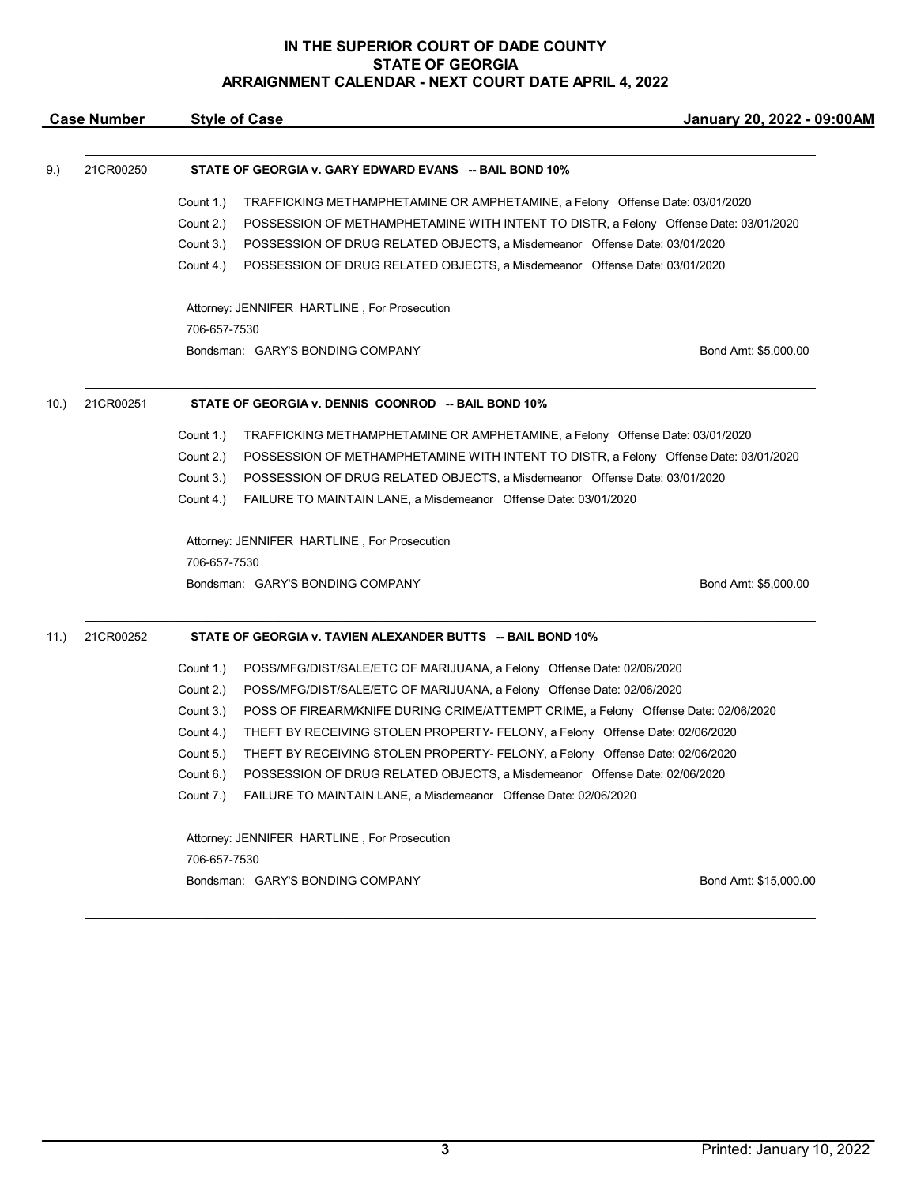| <b>Case Number</b> |           | <b>Style of Case</b>                                                                       |                                                                                       | January 20, 2022 - 09:00AM |  |
|--------------------|-----------|--------------------------------------------------------------------------------------------|---------------------------------------------------------------------------------------|----------------------------|--|
| 9.)                | 21CR00250 |                                                                                            | STATE OF GEORGIA v. GARY EDWARD EVANS -- BAIL BOND 10%                                |                            |  |
|                    |           | Count 1.)<br>TRAFFICKING METHAMPHETAMINE OR AMPHETAMINE, a Felony Offense Date: 03/01/2020 |                                                                                       |                            |  |
|                    |           | Count 2.)                                                                                  | POSSESSION OF METHAMPHETAMINE WITH INTENT TO DISTR, a Felony Offense Date: 03/01/2020 |                            |  |
|                    |           | Count 3.)                                                                                  | POSSESSION OF DRUG RELATED OBJECTS, a Misdemeanor Offense Date: 03/01/2020            |                            |  |
|                    |           | Count 4.)                                                                                  | POSSESSION OF DRUG RELATED OBJECTS, a Misdemeanor Offense Date: 03/01/2020            |                            |  |
|                    |           |                                                                                            |                                                                                       |                            |  |
|                    |           | Attorney: JENNIFER HARTLINE, For Prosecution                                               |                                                                                       |                            |  |
|                    |           | 706-657-7530                                                                               |                                                                                       |                            |  |
|                    |           |                                                                                            | Bondsman: GARY'S BONDING COMPANY                                                      | Bond Amt: \$5,000.00       |  |
| 10.                | 21CR00251 | STATE OF GEORGIA v. DENNIS COONROD -- BAIL BOND 10%                                        |                                                                                       |                            |  |
|                    |           | Count 1.)                                                                                  | TRAFFICKING METHAMPHETAMINE OR AMPHETAMINE, a Felony Offense Date: 03/01/2020         |                            |  |
|                    |           | Count 2.)                                                                                  | POSSESSION OF METHAMPHETAMINE WITH INTENT TO DISTR, a Felony Offense Date: 03/01/2020 |                            |  |
|                    |           |                                                                                            |                                                                                       |                            |  |
|                    |           | Count 3.)                                                                                  | POSSESSION OF DRUG RELATED OBJECTS, a Misdemeanor Offense Date: 03/01/2020            |                            |  |
|                    |           | Count 4.)                                                                                  | FAILURE TO MAINTAIN LANE, a Misdemeanor Offense Date: 03/01/2020                      |                            |  |
|                    |           |                                                                                            | Attorney: JENNIFER HARTLINE, For Prosecution                                          |                            |  |
|                    |           | 706-657-7530                                                                               |                                                                                       |                            |  |
|                    |           |                                                                                            | Bondsman: GARY'S BONDING COMPANY                                                      | Bond Amt: \$5,000.00       |  |
| 11.)               | 21CR00252 |                                                                                            | STATE OF GEORGIA v. TAVIEN ALEXANDER BUTTS -- BAIL BOND 10%                           |                            |  |
|                    |           | Count 1.)                                                                                  | POSS/MFG/DIST/SALE/ETC OF MARIJUANA, a Felony Offense Date: 02/06/2020                |                            |  |
|                    |           | Count 2.)                                                                                  | POSS/MFG/DIST/SALE/ETC OF MARIJUANA, a Felony Offense Date: 02/06/2020                |                            |  |
|                    |           | Count 3.)                                                                                  | POSS OF FIREARM/KNIFE DURING CRIME/ATTEMPT CRIME, a Felony Offense Date: 02/06/2020   |                            |  |
|                    |           | Count 4.)                                                                                  | THEFT BY RECEIVING STOLEN PROPERTY- FELONY, a Felony Offense Date: 02/06/2020         |                            |  |
|                    |           | Count 5.)                                                                                  | THEFT BY RECEIVING STOLEN PROPERTY- FELONY, a Felony Offense Date: 02/06/2020         |                            |  |
|                    |           | Count 6.)                                                                                  | POSSESSION OF DRUG RELATED OBJECTS, a Misdemeanor Offense Date: 02/06/2020            |                            |  |
|                    |           |                                                                                            | Count 7.) FAILURE TO MAINTAIN LANE, a Misdemeanor Offense Date: 02/06/2020            |                            |  |
|                    |           |                                                                                            | Attorney: JENNIFER HARTLINE, For Prosecution                                          |                            |  |
|                    |           | 706-657-7530                                                                               |                                                                                       |                            |  |

\_\_\_\_\_\_\_\_\_\_\_\_\_\_\_\_\_\_\_\_\_\_\_\_\_\_\_\_\_\_\_\_\_\_\_\_\_\_\_\_\_\_\_\_\_\_\_\_\_\_\_\_\_\_\_\_\_\_\_\_\_\_\_\_\_\_\_\_\_\_\_\_\_\_\_\_\_\_\_\_\_\_\_\_\_\_\_\_\_\_\_\_\_\_\_\_\_\_\_\_\_\_\_\_\_\_\_\_\_\_\_\_\_